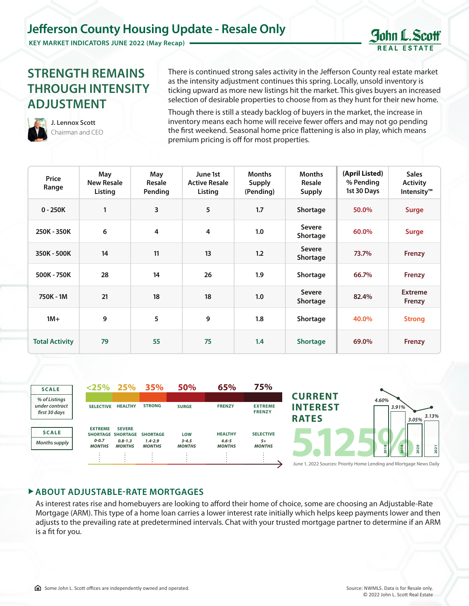## **Jefferson County Housing Update - Resale Only**

**KEY MARKET INDICATORS JUNE 2022 (May Recap)**

## **STRENGTH REMAINS THROUGH INTENSITY ADJUSTMENT**

There is continued strong sales activity in the Jefferson County real estate market as the intensity adjustment continues this spring. Locally, unsold inventory is ticking upward as more new listings hit the market. This gives buyers an increased selection of desirable properties to choose from as they hunt for their new home.

**J. Lennox Scott** Chairman and CEO Though there is still a steady backlog of buyers in the market, the increase in inventory means each home will receive fewer offers and may not go pending the first weekend. Seasonal home price flattening is also in play, which means premium pricing is off for most properties.

| Price<br>Range        | May<br><b>New Resale</b><br>Listing | May<br><b>Resale</b><br>Pending | June 1st<br><b>Active Resale</b><br>Listing | <b>Months</b><br>Supply<br>(Pending) | <b>Months</b><br><b>Resale</b><br>Supply | (April Listed)<br>% Pending<br>1st 30 Days | <b>Sales</b><br><b>Activity</b><br>Intensity <sup>™</sup> |
|-----------------------|-------------------------------------|---------------------------------|---------------------------------------------|--------------------------------------|------------------------------------------|--------------------------------------------|-----------------------------------------------------------|
| $0 - 250K$            | 1                                   | 3                               | 5                                           | 1.7                                  | Shortage                                 | 50.0%                                      | <b>Surge</b>                                              |
| 250K - 350K           | 6                                   | $\overline{4}$                  | 4                                           | 1.0                                  | <b>Severe</b><br>Shortage                | 60.0%                                      | <b>Surge</b>                                              |
| 350K - 500K           | 14                                  | 11                              | 13                                          | 1.2                                  | Severe<br>Shortage                       | 73.7%                                      | Frenzy                                                    |
| 500K - 750K           | 28                                  | 14                              | 26                                          | 1.9                                  | Shortage                                 | 66.7%                                      | <b>Frenzy</b>                                             |
| 750K - 1M             | 21                                  | 18                              | 18                                          | 1.0                                  | Severe<br>Shortage                       | 82.4%                                      | <b>Extreme</b><br>Frenzy                                  |
| $1M+$                 | 9                                   | 5                               | 9                                           | 1.8                                  | Shortage                                 | 40.0%                                      | <b>Strong</b>                                             |
| <b>Total Activity</b> | 79                                  | 55                              | 75                                          | 1.4                                  | <b>Shortage</b>                          | 69.0%                                      | <b>Frenzy</b>                                             |



## **ABOUT ADJUSTABLE-RATE MORTGAGES**

As interest rates rise and homebuyers are looking to afford their home of choice, some are choosing an Adjustable-Rate Mortgage (ARM). This type of a home loan carries a lower interest rate initially which helps keep payments lower and then adjusts to the prevailing rate at predetermined intervals. Chat with your trusted mortgage partner to determine if an ARM is a fit for you.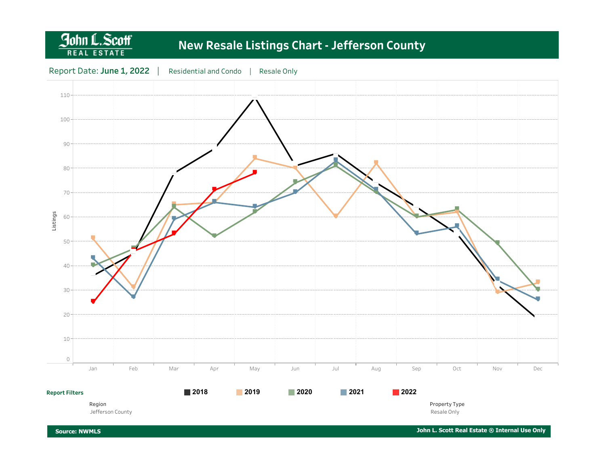### John L.Scott **New Resale Listings Chart - Jefferson County REAL ESTATE** Report Date: June 1, 2022 | Residential and Condo | Resale Only  $110 -$ ▀ ▀ 100 90 ▀ ▀ ▀ ▀ ▀ ▀ ₹ ▀ ▀ ▀ 80 ▀ ▀ ▀ ▀ ▀ ▀ ▀ ▀ ▀ 70 ▀ ▀  $\overline{\phantom{a}}$ ▀ ▀ ▀ ▀ ▀ Listings ▀ ▀ 60 ▀ ▀ ▀ ▀ ▀ ▀ ▀ ▀ ▀ ▀ 50 ▀ ▀ ▀ ▀ ▀ 40 ▀ ▀ ▀ ▀ ▀ ▀ ▀ ▀ 30 ▀ ▀ ▀ ▀ ▀ 20 ▀ ▀ 10 0 Jan Feb Mar Apr May Jun Jul Aug Sep Oct Nov Dec **2018 2019 2020 2021 2022 Report Filters**

Region Jefferson County

Resale Only

Property Type

Source: NWMLS

John L. Scott Real Estate ® Internal Use Only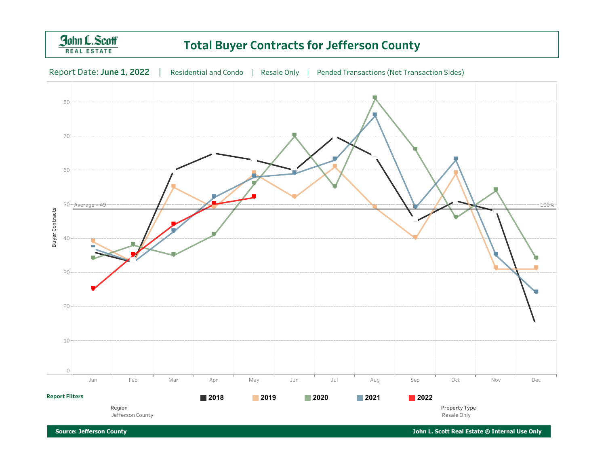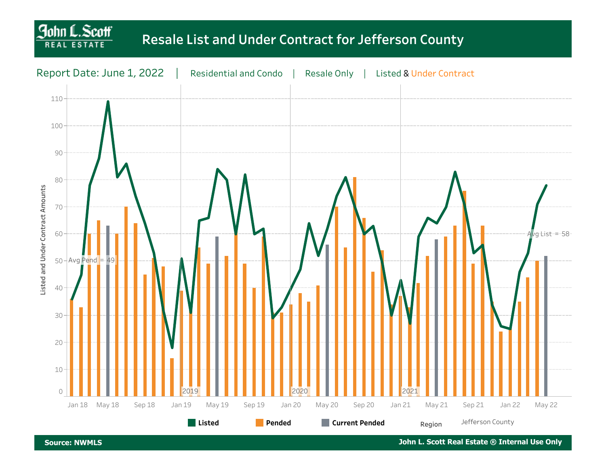# **Resale List and Under Contract for Jefferson County**



**Source: NWMLS** 

**John L. Scott** 

John L. Scott Real Estate ® Internal Use Only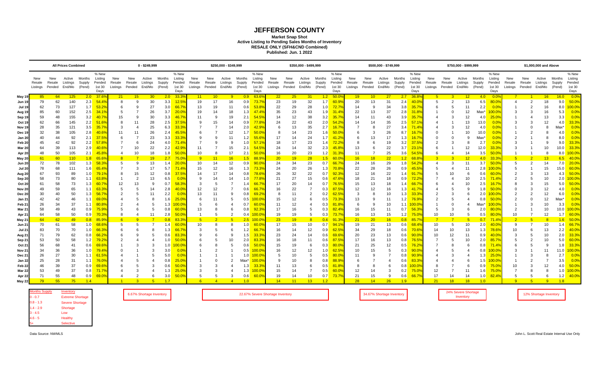### **JEFFERSON COUNTY**

**Market Snap Shot**

**Active Listing to Pending Sales Months of Inventory**

**RESALE ONLY (SFH&CND Combined) Published: Jun. 1 2022**

|                    |          | <b>All Prices Combined</b><br>0 - \$249,999 |               |               |                  |                |                | \$250,000 - \$349,999 |        | \$350,000 - \$499,999 |                |                 |                |                  |                  |          | \$500,000 - \$749,999 |                 |                  | \$750,000 - \$999,999 |          |        | \$1,000,000 and Above |                  |                  |          |          |               |                  |                  |                |                |                |                  |                  |
|--------------------|----------|---------------------------------------------|---------------|---------------|------------------|----------------|----------------|-----------------------|--------|-----------------------|----------------|-----------------|----------------|------------------|------------------|----------|-----------------------|-----------------|------------------|-----------------------|----------|--------|-----------------------|------------------|------------------|----------|----------|---------------|------------------|------------------|----------------|----------------|----------------|------------------|------------------|
|                    | New      | New                                         |               | Active Months | % New<br>Listina | New            | New            | Active                | Months | % New<br>Listina      | New            | New             | Active         | Months           | % New<br>Listina | New      | New                   | Active          | Months           | % New<br>Listing      | New      | New    | Active                | Months           | % New<br>Listing | New      | New      | Active        | Months           | % New<br>Listing | New            | New            | Active         | Months           | % New<br>Listing |
|                    | Resale   | Resale                                      | Listings      | Supply        | Pended           | Resale         | Resale         | Listings              | Supply | Pended                | Resale         | Resale          | Listings       | Supply           | Pended           | Resale   | Resale                | Listings        | Supply           | Pended                | Resale   | Resale | Listings              | Supply           | Pended           | Resale   | Resale   | Listings      | Supply           | Pended           | Resale         | Resale         | Listings       | Supply           | Pended           |
|                    | Listings |                                             | Pended End/Mo | (Pend)        | 1st 30           | Listinas       |                | Pended End/Mo         | (Pend) | 1st 30                | Listinas       | Pended End/Mo   |                | (Pend)           | 1st 30           | Listings | Pended End/Mo         |                 | (Pend)           | 1st 30                | Listings |        | Pended End/Mo         | (Pend)           | 1st 30           | Listings |          | Pended End/Mo | (Pend)           | 1st 30           | Listinas       | Pended End/Mo  |                | (Pend)           | 1st 30           |
|                    |          |                                             |               |               | Days             |                |                |                       |        | Days                  |                |                 |                |                  | Days             |          |                       |                 |                  | Days                  |          |        |                       |                  | Days             |          |          |               |                  | Days             |                |                |                |                  | Days             |
| May 19             | 85       | 64                                          | 125           |               | 2.0 37.6%        | 21             | 15             | 30 <sup>°</sup>       | 2.0    | 33.3%                 | 11             | 10 <sup>°</sup> | - 9            | 0.9 <sub>0</sub> | 63.6%            | 22       | 25                    | 31              | 1.2 <sub>1</sub> | $-50.09$              | 19       | 10     | 27                    | 2.7              | 36.8%            | 5        | 3        | 12            | 4.0              | 0.0%             |                |                | 16             | 16.0             | 0.0%             |
| Jun 19             | 79       | 62                                          | 140           | 2.3           | 54.4%            | -8             | 9              | 30                    | 3.3    | 12.5%                 | 19             | 17              | 16             | 0.9              | 73.7%            | 23       | 19                    | 32              |                  | 1.7 60.9%             | 20       | 13     | 31                    | 2.4              | 40.0%            | 5        | 2        | 13            | 6.5              | 80.0%            | $\overline{4}$ | $\overline{2}$ | 18             | 9.0              | 50.0%            |
| <b>Jul 19</b>      | 62       | 73                                          | 127           | 1.7           | 53.2%            | -6             | 9              | 27                    | 3.0    | 66.79                 | 13             | 19              | 11             | 0.6              | 53.8%            | 22       | 29                    | 28              | 1.0              | $-72.79$              | 14       | 9      | 34                    | 3.8              | 35.7%            |          |          | 11            | 2.2              | 0.09             |                |                | 16             | 8.0              | 100.0%           |
| Aug 19             | 85       | 60                                          | 152           | 2.5           | 34.1%            | 5              |                | 26                    | 3.7    | $20.0^{\circ}$        | 19             | 14              | 18             | 1.3              | 47.4%            | 35       | 23                    | 43              | 1.9              | 31.4%                 | 22       | 13     | 37                    | 2.8              | 31.8%            |          |          | 12            | Max*             | 100.09           | 3              |                | 16             | 5.3              | 0.0%             |
| Sep 19             | 59       | 48                                          | 155           | 3.2           | 40.7%            | 15             | 9              | 30                    | 3.3    | 46.7%                 | 11             |                 | 19             | 2.1              | 54.5%            | 14       | 12                    | 38              | 3.2              | 35.7%                 | 14       | 11     | 43                    | 3.9              | 35.7%            |          |          | 12            | 4.0              | 25.0%            |                |                | 13             | 3.3              | 0.0%             |
| Oct 19             | 62       | 66                                          | 145           | 2.2           | 51.6%            | 8              | 11             | 28                    | 2.5    | 37.5%                 | 9              |                 | 14             | 0.9              | 77.8%            | 24       | 22                    | 43              | 2.0              | $-54.2%$              | 14       | 14     | 35                    | 2.5              | 57.1%            |          |          | 13            | 13.0             | 0.09             | 3              |                | 12             | 4.0              | 33.3%            |
| Nov 19             | 28       | 35                                          | 121           | 3.5           | 35.7%            | 3              |                | 25                    | 6.3    | $33.3^{\circ}$        |                |                 | 14             | 2.0              | 42.9%            | 6        | 13                    | 35              | 2.7              | 16.79                 |          | 8      | 27                    | 3.4              | 71.4%            |          |          | 12            | 4.0              | 0.09             |                |                | 8              | Max*             | 0.0%             |
| Dec 19             | 32       | 38                                          | 105           | 2.8           | 40.6%            | 11             | 11             | 26                    | 2.4    | 45.5%                 | 6              |                 | 12             | 1.7              | 50.0%            | 8        | 14                    | 23              | 1.6              | 50.0%                 | 6        | 3      | 26                    | 8.7              | 16.7%            | $\Omega$ |          | 10            | 10.0             | 0.09             |                |                |                | 4.0              | 0.0%             |
| Jan 20             | 40       | 44                                          |               | 92<br>2.1     | 37.5%            | -6             |                | 23                    | 3.3    | 33.3%                 |                |                 | 11             | 1.2              | 55.6%            | -17      | 14                    | 24              | 1.7              | $-41.29$              |          | 13     | 17                    | 1.3              | 16.7%            |          |          | 9             | Max*             | 0.09             |                |                |                | 8.0 <sub>1</sub> | 0.0%             |
| Feb 20             | 45       | 42                                          |               | 92<br>2.2     | 57.8%            |                |                | 24                    | 4.0    | 71.49                 |                |                 | 9              | 1.0              | 57.19            | 18       | 17                    | 23              | 1.4              | 72.29                 |          |        | 19                    | 3.2              | 37.5%            |          |          | 8             | 2.7              | 0.09             |                |                | g              | 9.0              | 33.3%            |
| Mar 20             | 64       | 39                                          | 113           | 2.9           | 40.6%            |                | 10             | 22                    | 2.2    | 42.99                 | 11             |                 | 15             | 2.1              | 54.5%            | 24       | 14                    | 32              | 2.3              | 45.8%                 | 13       | 6      | 22                    | 3.7              | 23.1%            | 6        |          | 12            | 12.0             | 33.3%            | 3              |                | 10             | 10.0             | 33.3%            |
| Apr 20             | 48       | 50                                          | 105           | 2.1           | 45.8%            | -4             | 10             | 18                    | 1.8    | $50.0^{\circ}$        | 10             | 8               | 17             | 2.1              | 50.0%            | 16       | 20                    | 23              | 1.2              | 31.39                 | 11       |        | 25                    | 3.6              | 54.5%            | -6       |          | 14            | 3.5              | 50.0%            |                |                | 8              | 8.0              | 100.0%           |
| <b>May 20</b>      | 61       | 60                                          | 110           | 1.8           | 65.6%            | $\mathbf{R}$   | $\overline{7}$ | 19                    | 2.7    | 75.0%                 | 9              | 11              | 16             | 1.5 <sub>1</sub> | 88.9%            | 20       | 19                    | 28              |                  | $1.5$ 60.0%           | 16       | 18     | 22                    | 1.2 <sub>1</sub> | 68.8%            | 3        | -3       | 12            | $4.0^{\circ}$    | 33.3%            | 5 <sub>1</sub> | $\overline{2}$ | 13             | 6.5              | 40.0%            |
| Jun 20             | 72       | 78                                          | 102           | 1.3           | 58.3%            | -5             | <sub>9</sub>   | 13                    | 1.4    | 20.0%                 | 10             | 14              | 12             | 0.9              | 90.0%            | 24       | 34                    | 23              | 0.7              | 66.7%                 | 24       | 16     | 29                    | 1.8              | 54.2%            | 4        | 3        | 11            | 3.7              | $-50.09$         | 5              |                | 14             | 7.0              | 20.0%            |
| <b>Jul 20</b>      | 78       | 68                                          | 111           | 1.6           | 65.4%            |                | 3              | 17                    | 5.7    | 71.4%                 | 15             | 12              | 16             | 1.3              | 73.3%            | 24       | 20                    | 26              | 1.3              | 70.8%                 | 22       | 28     | 26                    | 0.9              | 45.5%            | 5        |          | 11            | 2.8              | 100.0%           | 5              |                | 15             | 15.0             | 60.0%            |
| Aug 20             | 67       | 93                                          | 89            | 1.0           | 79.1%            | -8             | 15             | 12                    | 0.8    | 37.5%                 | 14             | 17              | 14             | 0.8              | 78.6%            | 26       | 32                    | 22              | 0.7              | 92.3%                 | 12       | 16     | 22                    | 1.4              | 91.7%            | 5        | 10       | 6             | 0.6              | 60.0%            |                |                | 13             | 4.3              | 50.0%            |
| Sep 20             | 58       | 73                                          | 80            | 1.1           | 63.8%            |                |                | 13                    | 6.5    | 0.09                  | 9              |                 | 14             | 1.0              | 77.8%            | 21       | 27                    | 15              | 0.6              | 47.6%                 | 18       | 21     | 18                    | 0.9              | 72.2%            |          |          | 10            | 2.5              | 71.4%            | $\overline{2}$ |                | 10             | 2.0              | 100.0%           |
| <b>Oct 20</b>      | 61       | 58                                          |               | 73<br>1.3     | 60.7%            | 12             | 13             | 9                     | 0.7    | 58.3 <sup>o</sup>     | 3              |                 | 7              | 1.4              | 66.7%            | 17       | 20                    | 14              | 0.7              | 76.59                 | 15       | 13     | 18                    | 1.4              | 66.7%            |          |          | 10            | 2.5              | 16.79            |                |                | 15             | 5.0              | 50.0%            |
| Nov 20             | 49       | 59                                          |               | 65<br>1.1     | 63.3%            | -5             |                | 14                    | 2.8    | 40.0%                 | 12             | 12 <sup>2</sup> |                | 0.6              | 66.7%            | 16       | 22                    |                 | 0.3              | 87.5%                 | 12       | 12     | 16                    | 1.3              | 41.7%            |          |          | 9             | 1.8              | 50.09            |                |                | 12             | 4.0              | 0.0%             |
| Dec 20             | 30       | 40                                          | 50            | 1.3           | 56.7%            |                |                | 11                    | 2.2    | 0.09                  | 13             | 11              | 9              | 0.8              | 69.2%            | 8        | 11                    | $\overline{2}$  | 0.2              | $62.5^{\circ}$        | 3        |        | 10                    | 1.3              | 33.3%            |          |          |               | 2.0              | 100.0%           |                |                | 12             | 6.0              | 0.0%             |
| Jan 21             | 42       | 42                                          | 46            | 1.1           | 69.0%            |                |                | 8                     | 1.6    | $25.0^{\circ}$        | 6              | 11              |                | 0.5              | 100.0%           | 15       | 12                    | 6               | 0.5              | 73.3%                 | 13       |        | 11                    | 1.2              | 76.9%            |          |          |               | 0.8              | 50.0%            |                |                | 12             | Max*             | 0.0%             |
| Feb 21             | 26       | 34                                          | 37            | 1.1           | 80.8%            | $\overline{2}$ |                | 5                     | 1.3    | 100.0                 | 5              | 6               |                | 0.7              | 60.0%            | 11       | 12                    | 4               | 0.3              | 81.89                 | 6        | 9      | 10                    | 1.1 <sup>1</sup> | 100.0%           |          | $\Omega$ | 4             | Max <sup>*</sup> | 100.0            |                |                | 10             | 3.3              | 0.0%             |
| Mar 21             | 58       | 49                                          |               | 43<br>0.9     | 75.9%            | 5              | 6              | 5                     | 0.8    | 60.0%                 | 13             |                 | 6              | 0.8              | 92.3%            | 17       | 16                    | 5               | 0.3              | 82.4%                 | 16       | 15     | 11                    | 0.7              | 56.3%            | 5        | 3        | 6             | 2.0              | 80.0%            | 2              |                | 10             | 10.0             | 100.0%           |
| Apr 21             | 64       | 58                                          |               | 50<br>0.9     | 70.3%            | -8             |                | 11                    | 2.8    | $50.0^{\circ}$        |                |                 | $\overline{2}$ | 0.4              | 100.0%           | 19       | 19                    | 5               | 0.3              | 73.7%                 | 16       | 13     | 15                    | 1.2              | 75.0%            | 10       | 10       | 5             | 0.5              | 80.0%            | 10             |                | 12             | 1.7              | 60.0%            |
| May 21             | 64       | 62                                          |               | 49<br>0.8     | 85.9%            |                | $\overline{q}$ | $\overline{7}$        | 0.8    | 83.3%                 | 5 <sup>5</sup> |                 | -5             | 2.5              | 100.0%           | 23       | 19                    | $\overline{8}$  | 0.4              | $-91.39$              | 21       | 20     | 16                    | 0.8 <sub>0</sub> | 85.7%            |          |          | -5            | 0.7              | 71.4%            | $\overline{2}$ |                | $\overline{8}$ | 1.6 <sup>2</sup> | 50.0%            |
| Jun 2 <sup>.</sup> | 70       | 61                                          |               | 58<br>1.0     | 68.6%            | -5             |                |                       | 1.4    | 60.09                 | 10             |                 | 8              | 1.0              | 60.0%            | 17       | 15                    | 10              | 0.7              | 94.19                 | 19       | 21     | 13                    | 0.6              | 68.4%            | 10       | 5        | 10            | 2.0              | 40.09            | 9              |                | 10             | 1.4              | 66.7%            |
| Jul 2              | 83       | 70                                          |               | 70<br>1.0     | 66.3%            |                |                |                       | 1.3    | 66.7%                 | 3              |                 | 6              | 1.2              | 66.7%            | 16       | 14                    | 12              | 0.9              | 62.5%                 | 34       | 29     | 18                    | 0.6              | 70.6%            | 14       | 10       | 13            | 1.3              | 78.6%            | 10             |                | 13             | 2.2              | 40.0%            |
| Aug 21             | 71       | 79                                          |               | 62<br>0.8     | 66.2%            | 6              |                | 5                     | 0.6    | 83.3%                 | 9              |                 | 9              | 1.5              | 33.3%            | 23       | 24                    | 14              | 0.6              | 69.6%                 | 20       | 23     | 13                    | 0.6              | 90.0%            | 10       | 12       | 11            | 0.9              | 40.09            | 3              |                | 10             | 2.0              | 33.3%            |
| <b>Sep 21</b>      | 53       | 50                                          |               | 58<br>1.2     | 79.2%            |                |                |                       | 1.0    | 50.0                  |                |                 | 10             | 2.0              | 83.3%            | 16       | 18                    | 11              | 0.6              | 87.5%                 | 17       | 16     | 13                    | 0.8              | 76.5%            |          |          | 10            | 2.0              | 85.79            | 5              |                | 10             | 5.0              | 60.0%            |
| Oct 21             | 56       | 68                                          | 41            | 0.6           | 69.6%            |                |                | 3                     | 1.0    | 100.0                 |                |                 | 5              | 0.6              | 50.0%            | 15       | 19                    | 6               | 0.3              | 80.0%                 | 21       | 25     | 12                    | 0.5              | 76.2%            |          |          |               | 0.8              | 71.49            | 6              |                | $\mathbf{Q}$   | 1.8              | 33.3%            |
| Nov 21             | 34       | 36                                          |               | 36<br>1.0     | 79.4%            |                |                | 3                     | 3.0    | 0.0 <sup>o</sup>      |                |                 |                | 0.5              | 100.09           | 16       | 12                    | 12              | 1.0              | 62.5%                 | 10       |        | 5                     | 0.3              | 90.0%            |          |          |               | 0.8              | 100.0%           | 3              |                | 11             | 11.0             | $100.0\%$        |
| Dec 21             | 26       | 27                                          | 30            | 1.1           | 61.5%            |                |                | 5                     | 5.0    | 0.09                  |                |                 |                | 1.0              | 100.0%           | 5        | 10                    | 5               | 0.5              | 80.0%                 | 11       |        |                       | 0.8              | 90.9%            |          |          |               | 1.3              | 25.0%            |                |                |                | 2.7              | 0.0%             |
| Jan 22             | 25       | 28                                          | 31            | 1.1           | 76.0%            |                |                | 4                     | 0.8    | 25.0                  |                | $\Omega$        | 2              | Max*             | 100.09           | 9        | 10                    | 8               | 0.8              | 88.99                 |          |        |                       | 0.6              | 83.3%            |          |          |               | 1.5              | 100.0            |                |                |                | 3.5              | 0.0%             |
| Feb 22             | 46       | 39                                          | 37            | 0.9           | 69.6%            |                |                | 3                     | 0.6    | $50.0^{\circ}$        | 3              | 3               |                | 1.3              | 33.3%            | 11       | 13                    | 6               | 0.5              | 81.89                 | 8        | 8      | 6                     | 0.8              |                  | 8        |          |               | 0.9              | 75.0%            | 10             |                | 12             | 4.0              | 50.0%            |
| Mar 22             | 53       | 49                                          |               | 37<br>0.8     | 71.7%            |                |                | 4                     | 1.3    | $25.0^{\circ}$        |                |                 |                | 1.3              | $100.0\%$        | 15       | 14                    | $\overline{7}$  | 0.5              | 60.09                 | 12       | 14     | 3                     | 0.2              | 75.0%            | 12       |          | 11            | 1.6              | 75.0%            |                |                |                | 1.0              | 100.0%           |
| Apr 22             | 71       | 55                                          |               | 48<br>0.9     | 69.0%            |                | 2              | 6                     | 3.0    | $50.0^{\circ}$        | 5              |                 | 3              | 0.6              | 60.0%            | 19       | 14                    | 10              | 0.7              | 73.7%                 | 21       | 15     | 9                     | 0.6              | 66.7%            | 17       | 14       | 14            | 1.0              | 82.4%            | 5              |                | 6              | 1.2              | 40.0%            |
| May 22             | 79       | 55                                          |               | 75<br>14      |                  |                | $\overline{3}$ | $-5$                  | 17     |                       |                |                 | $\overline{4}$ | 10               |                  | 14       | 11                    | 13 <sup>°</sup> | 12               |                       | 28       | 14     | 26                    | 19               |                  | 21       | 18       | 18            | 10               |                  | $\bullet$      | 5 <sub>5</sub> | $\overline{9}$ | 18               |                  |

example and the contract of the C2.67% Severe Shortage Inventory 22.67% Severe Shortage Inventory 24% Shortage Inventory 24% Severe Shortage Inventory 24% Shortage Inventory 24% Shortage Inventory 24% Shortage Inventory 24

| Inventory               |
|-------------------------|
| <b>Extreme Shortage</b> |
| <b>Severe Shortage</b>  |
| Shortage                |
| Low                     |
| Healthy                 |
| <b>Selective</b>        |
|                         |

12% Shortage Inventory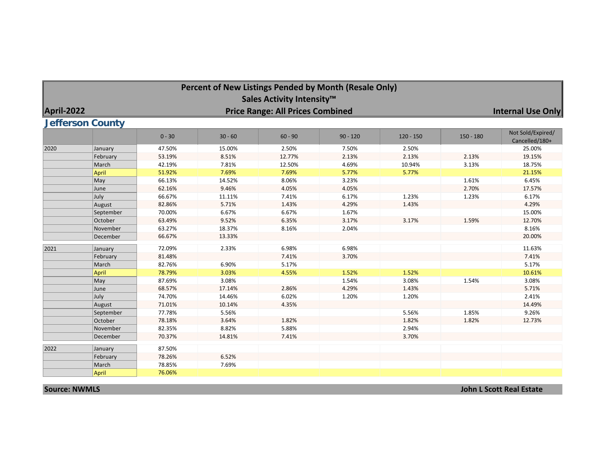|                   | Percent of New Listings Pended by Month (Resale Only)<br>Sales Activity Intensity™ |          |           |                                         |            |             |             |                                     |  |  |  |  |  |
|-------------------|------------------------------------------------------------------------------------|----------|-----------|-----------------------------------------|------------|-------------|-------------|-------------------------------------|--|--|--|--|--|
|                   |                                                                                    |          |           |                                         |            |             |             |                                     |  |  |  |  |  |
| <b>April-2022</b> |                                                                                    |          |           | <b>Price Range: All Prices Combined</b> |            |             |             | <b>Internal Use Only</b>            |  |  |  |  |  |
|                   | <b>Jefferson County</b>                                                            |          |           |                                         |            |             |             |                                     |  |  |  |  |  |
|                   |                                                                                    | $0 - 30$ | $30 - 60$ | $60 - 90$                               | $90 - 120$ | $120 - 150$ | $150 - 180$ | Not Sold/Expired/<br>Cancelled/180+ |  |  |  |  |  |
| 2020              | January                                                                            | 47.50%   | 15.00%    | 2.50%                                   | 7.50%      | 2.50%       |             | 25.00%                              |  |  |  |  |  |
|                   | February                                                                           | 53.19%   | 8.51%     | 12.77%                                  | 2.13%      | 2.13%       | 2.13%       | 19.15%                              |  |  |  |  |  |
|                   | March                                                                              | 42.19%   | 7.81%     | 12.50%                                  | 4.69%      | 10.94%      | 3.13%       | 18.75%                              |  |  |  |  |  |
|                   | April                                                                              | 51.92%   | 7.69%     | 7.69%                                   | 5.77%      | 5.77%       |             | 21.15%                              |  |  |  |  |  |
|                   | May                                                                                | 66.13%   | 14.52%    | 8.06%                                   | 3.23%      |             | 1.61%       | 6.45%                               |  |  |  |  |  |
|                   | June                                                                               | 62.16%   | 9.46%     | 4.05%                                   | 4.05%      |             | 2.70%       | 17.57%                              |  |  |  |  |  |
|                   | July                                                                               | 66.67%   | 11.11%    | 7.41%                                   | 6.17%      | 1.23%       | 1.23%       | 6.17%                               |  |  |  |  |  |
|                   | August                                                                             | 82.86%   | 5.71%     | 1.43%                                   | 4.29%      | 1.43%       |             | 4.29%                               |  |  |  |  |  |
|                   | September                                                                          | 70.00%   | 6.67%     | 6.67%                                   | 1.67%      |             |             | 15.00%                              |  |  |  |  |  |
|                   | October                                                                            | 63.49%   | 9.52%     | 6.35%                                   | 3.17%      | 3.17%       | 1.59%       | 12.70%                              |  |  |  |  |  |
|                   | November                                                                           | 63.27%   | 18.37%    | 8.16%                                   | 2.04%      |             |             | 8.16%                               |  |  |  |  |  |
|                   | December                                                                           | 66.67%   | 13.33%    |                                         |            |             |             | 20.00%                              |  |  |  |  |  |
| 2021              | January                                                                            | 72.09%   | 2.33%     | 6.98%                                   | 6.98%      |             |             | 11.63%                              |  |  |  |  |  |
|                   | February                                                                           | 81.48%   |           | 7.41%                                   | 3.70%      |             |             | 7.41%                               |  |  |  |  |  |
|                   | March                                                                              | 82.76%   | 6.90%     | 5.17%                                   |            |             |             | 5.17%                               |  |  |  |  |  |
|                   | April                                                                              | 78.79%   | 3.03%     | 4.55%                                   | 1.52%      | 1.52%       |             | 10.61%                              |  |  |  |  |  |
|                   | May                                                                                | 87.69%   | 3.08%     |                                         | 1.54%      | 3.08%       | 1.54%       | 3.08%                               |  |  |  |  |  |
|                   | June                                                                               | 68.57%   | 17.14%    | 2.86%                                   | 4.29%      | 1.43%       |             | 5.71%                               |  |  |  |  |  |
|                   | July                                                                               | 74.70%   | 14.46%    | 6.02%                                   | 1.20%      | 1.20%       |             | 2.41%                               |  |  |  |  |  |
|                   | August                                                                             | 71.01%   | 10.14%    | 4.35%                                   |            |             |             | 14.49%                              |  |  |  |  |  |
|                   | September                                                                          | 77.78%   | 5.56%     |                                         |            | 5.56%       | 1.85%       | 9.26%                               |  |  |  |  |  |
|                   | October                                                                            | 78.18%   | 3.64%     | 1.82%                                   |            | 1.82%       | 1.82%       | 12.73%                              |  |  |  |  |  |
|                   | November                                                                           | 82.35%   | 8.82%     | 5.88%                                   |            | 2.94%       |             |                                     |  |  |  |  |  |
|                   | December                                                                           | 70.37%   | 14.81%    | 7.41%                                   |            | 3.70%       |             |                                     |  |  |  |  |  |
| 2022              | January                                                                            | 87.50%   |           |                                         |            |             |             |                                     |  |  |  |  |  |
|                   | February                                                                           | 78.26%   | 6.52%     |                                         |            |             |             |                                     |  |  |  |  |  |
|                   | March                                                                              | 78.85%   | 7.69%     |                                         |            |             |             |                                     |  |  |  |  |  |
|                   | April                                                                              | 76.06%   |           |                                         |            |             |             |                                     |  |  |  |  |  |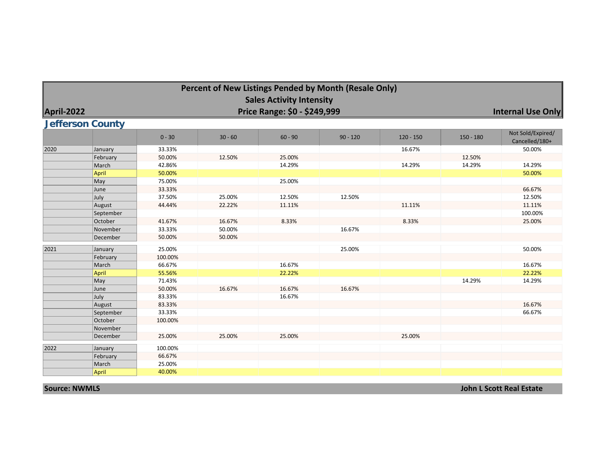|            |                         |          |           |                                 | Percent of New Listings Pended by Month (Resale Only) |             |             |                                     |  |  |  |  |  |  |
|------------|-------------------------|----------|-----------|---------------------------------|-------------------------------------------------------|-------------|-------------|-------------------------------------|--|--|--|--|--|--|
|            |                         |          |           | <b>Sales Activity Intensity</b> |                                                       |             |             |                                     |  |  |  |  |  |  |
| April-2022 |                         |          |           | Price Range: \$0 - \$249,999    |                                                       |             |             | <b>Internal Use Only</b>            |  |  |  |  |  |  |
|            | <b>Jefferson County</b> |          |           |                                 |                                                       |             |             |                                     |  |  |  |  |  |  |
|            |                         |          |           |                                 |                                                       |             |             |                                     |  |  |  |  |  |  |
|            |                         | $0 - 30$ | $30 - 60$ | $60 - 90$                       | $90 - 120$                                            | $120 - 150$ | $150 - 180$ | Not Sold/Expired/<br>Cancelled/180+ |  |  |  |  |  |  |
| 2020       | January                 | 33.33%   |           |                                 |                                                       | 16.67%      |             | 50.00%                              |  |  |  |  |  |  |
|            | February                | 50.00%   | 12.50%    | 25.00%                          |                                                       |             | 12.50%      |                                     |  |  |  |  |  |  |
|            | March                   | 42.86%   |           | 14.29%                          |                                                       | 14.29%      | 14.29%      | 14.29%                              |  |  |  |  |  |  |
|            | April                   | 50.00%   |           |                                 |                                                       |             |             | 50.00%                              |  |  |  |  |  |  |
|            | May                     | 75.00%   |           | 25.00%                          |                                                       |             |             |                                     |  |  |  |  |  |  |
|            | June                    | 33.33%   |           |                                 |                                                       |             |             | 66.67%                              |  |  |  |  |  |  |
|            | July                    | 37.50%   | 25.00%    | 12.50%                          | 12.50%                                                |             |             | 12.50%                              |  |  |  |  |  |  |
|            | August                  | 44.44%   | 22.22%    | 11.11%                          |                                                       | 11.11%      |             | 11.11%                              |  |  |  |  |  |  |
|            | September               |          |           |                                 |                                                       |             |             | 100.00%                             |  |  |  |  |  |  |
|            | October                 | 41.67%   | 16.67%    | 8.33%                           |                                                       | 8.33%       |             | 25.00%                              |  |  |  |  |  |  |
|            | November                | 33.33%   | 50.00%    |                                 | 16.67%                                                |             |             |                                     |  |  |  |  |  |  |
|            | December                | 50.00%   | 50.00%    |                                 |                                                       |             |             |                                     |  |  |  |  |  |  |
| 2021       | January                 | 25.00%   |           |                                 | 25.00%                                                |             |             | 50.00%                              |  |  |  |  |  |  |
|            | February                | 100.00%  |           |                                 |                                                       |             |             |                                     |  |  |  |  |  |  |
|            | March                   | 66.67%   |           | 16.67%                          |                                                       |             |             | 16.67%                              |  |  |  |  |  |  |
|            | April                   | 55.56%   |           | 22.22%                          |                                                       |             |             | 22.22%                              |  |  |  |  |  |  |
|            | May                     | 71.43%   |           |                                 |                                                       |             | 14.29%      | 14.29%                              |  |  |  |  |  |  |
|            | June                    | 50.00%   | 16.67%    | 16.67%                          | 16.67%                                                |             |             |                                     |  |  |  |  |  |  |
|            | July                    | 83.33%   |           | 16.67%                          |                                                       |             |             |                                     |  |  |  |  |  |  |
|            | August                  | 83.33%   |           |                                 |                                                       |             |             | 16.67%                              |  |  |  |  |  |  |
|            | September               | 33.33%   |           |                                 |                                                       |             |             | 66.67%                              |  |  |  |  |  |  |
|            | October                 | 100.00%  |           |                                 |                                                       |             |             |                                     |  |  |  |  |  |  |
|            | November                |          |           |                                 |                                                       |             |             |                                     |  |  |  |  |  |  |
|            | December                | 25.00%   | 25.00%    | 25.00%                          |                                                       | 25.00%      |             |                                     |  |  |  |  |  |  |
| 2022       | January                 | 100.00%  |           |                                 |                                                       |             |             |                                     |  |  |  |  |  |  |
|            | February                | 66.67%   |           |                                 |                                                       |             |             |                                     |  |  |  |  |  |  |
|            | March                   | 25.00%   |           |                                 |                                                       |             |             |                                     |  |  |  |  |  |  |
|            | April                   | 40.00%   |           |                                 |                                                       |             |             |                                     |  |  |  |  |  |  |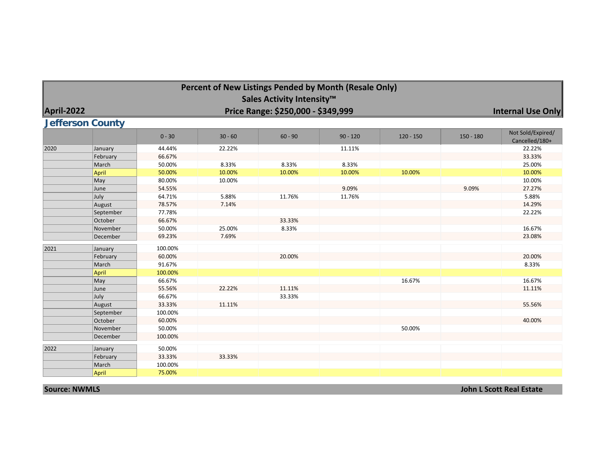|            |                                      |                             | Percent of New Listings Pended by Month (Resale Only) | Sales Activity Intensity™          |                 |             |             |                                     |
|------------|--------------------------------------|-----------------------------|-------------------------------------------------------|------------------------------------|-----------------|-------------|-------------|-------------------------------------|
| April-2022 |                                      |                             |                                                       | Price Range: \$250,000 - \$349,999 |                 |             |             | <b>Internal Use Only</b>            |
|            | <b>Jefferson County</b>              |                             |                                                       |                                    |                 |             |             |                                     |
|            |                                      | $0 - 30$                    | $30 - 60$                                             | $60 - 90$                          | $90 - 120$      | $120 - 150$ | $150 - 180$ | Not Sold/Expired/<br>Cancelled/180+ |
| 2020       | January<br>February                  | 44.44%<br>66.67%            | 22.22%                                                |                                    | 11.11%          |             |             | 22.22%<br>33.33%                    |
|            | March<br><b>April</b>                | 50.00%<br>50.00%            | 8.33%<br>10.00%                                       | 8.33%<br>10.00%                    | 8.33%<br>10.00% | 10.00%      |             | 25.00%<br>10.00%                    |
|            | May<br>June<br>July                  | 80.00%<br>54.55%<br>64.71%  | 10.00%<br>5.88%                                       | 11.76%                             | 9.09%<br>11.76% |             | 9.09%       | 10.00%<br>27.27%<br>5.88%           |
|            | August<br>September                  | 78.57%<br>77.78%            | 7.14%                                                 |                                    |                 |             |             | 14.29%<br>22.22%                    |
|            | October<br>November                  | 66.67%<br>50.00%            | 25.00%                                                | 33.33%<br>8.33%                    |                 |             |             | 16.67%                              |
|            | December                             | 69.23%                      | 7.69%                                                 |                                    |                 |             |             | 23.08%                              |
| 2021       | January<br>February                  | 100.00%<br>60.00%           |                                                       | 20.00%                             |                 |             |             | 20.00%                              |
|            | March<br><b>April</b><br>$\vert$ May | 91.67%<br>100.00%<br>66.67% |                                                       |                                    |                 | 16.67%      |             | 8.33%<br>16.67%                     |
|            | June<br>July                         | 55.56%<br>66.67%            | 22.22%                                                | 11.11%<br>33.33%                   |                 |             |             | 11.11%                              |
|            | August<br>September                  | 33.33%<br>100.00%           | 11.11%                                                |                                    |                 |             |             | 55.56%                              |
|            | October<br>November                  | 60.00%<br>50.00%            |                                                       |                                    |                 | 50.00%      |             | 40.00%                              |
|            | December                             | 100.00%                     |                                                       |                                    |                 |             |             |                                     |
| 2022       | January<br>February                  | 50.00%<br>33.33%            | 33.33%                                                |                                    |                 |             |             |                                     |
|            | March<br><b>April</b>                | 100.00%<br>75.00%           |                                                       |                                    |                 |             |             |                                     |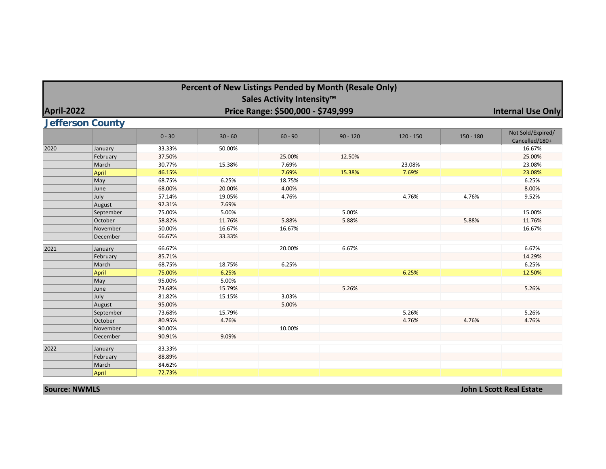|            |                         |          |           |                                    | Percent of New Listings Pended by Month (Resale Only) |             |             |                                     |
|------------|-------------------------|----------|-----------|------------------------------------|-------------------------------------------------------|-------------|-------------|-------------------------------------|
|            |                         |          |           | Sales Activity Intensity™          |                                                       |             |             |                                     |
| April-2022 |                         |          |           | Price Range: \$500,000 - \$749,999 |                                                       |             |             | <b>Internal Use Only</b>            |
|            |                         |          |           |                                    |                                                       |             |             |                                     |
|            | <b>Jefferson County</b> |          |           |                                    |                                                       |             |             |                                     |
|            |                         | $0 - 30$ | $30 - 60$ | $60 - 90$                          | $90 - 120$                                            | $120 - 150$ | $150 - 180$ | Not Sold/Expired/<br>Cancelled/180+ |
| 2020       | January                 | 33.33%   | 50.00%    |                                    |                                                       |             |             | 16.67%                              |
|            | February                | 37.50%   |           | 25.00%                             | 12.50%                                                |             |             | 25.00%                              |
|            | March                   | 30.77%   | 15.38%    | 7.69%                              |                                                       | 23.08%      |             | 23.08%                              |
|            | April                   | 46.15%   |           | 7.69%                              | 15.38%                                                | 7.69%       |             | 23.08%                              |
|            | $\vert$ May             | 68.75%   | 6.25%     | 18.75%                             |                                                       |             |             | 6.25%                               |
|            | June                    | 68.00%   | 20.00%    | 4.00%                              |                                                       |             |             | 8.00%                               |
|            | July                    | 57.14%   | 19.05%    | 4.76%                              |                                                       | 4.76%       | 4.76%       | 9.52%                               |
|            | August                  | 92.31%   | 7.69%     |                                    |                                                       |             |             |                                     |
|            | September               | 75.00%   | 5.00%     |                                    | 5.00%                                                 |             |             | 15.00%                              |
|            | October                 | 58.82%   | 11.76%    | 5.88%                              | 5.88%                                                 |             | 5.88%       | 11.76%                              |
|            | November                | 50.00%   | 16.67%    | 16.67%                             |                                                       |             |             | 16.67%                              |
|            | December                | 66.67%   | 33.33%    |                                    |                                                       |             |             |                                     |
| 2021       | January                 | 66.67%   |           | 20.00%                             | 6.67%                                                 |             |             | 6.67%                               |
|            | February                | 85.71%   |           |                                    |                                                       |             |             | 14.29%                              |
|            | March                   | 68.75%   | 18.75%    | 6.25%                              |                                                       |             |             | 6.25%                               |
|            | April                   | 75.00%   | 6.25%     |                                    |                                                       | 6.25%       |             | 12.50%                              |
|            | $\vert$ May             | 95.00%   | 5.00%     |                                    |                                                       |             |             |                                     |
|            | June                    | 73.68%   | 15.79%    |                                    | 5.26%                                                 |             |             | 5.26%                               |
|            | July                    | 81.82%   | 15.15%    | 3.03%                              |                                                       |             |             |                                     |
|            | August                  | 95.00%   |           | 5.00%                              |                                                       |             |             |                                     |
|            | September               | 73.68%   | 15.79%    |                                    |                                                       | 5.26%       |             | 5.26%                               |
|            | October                 | 80.95%   | 4.76%     |                                    |                                                       | 4.76%       | 4.76%       | 4.76%                               |
|            | November                | 90.00%   |           | 10.00%                             |                                                       |             |             |                                     |
|            | December                | 90.91%   | 9.09%     |                                    |                                                       |             |             |                                     |
| 2022       | January                 | 83.33%   |           |                                    |                                                       |             |             |                                     |
|            | February                | 88.89%   |           |                                    |                                                       |             |             |                                     |
|            | March                   | 84.62%   |           |                                    |                                                       |             |             |                                     |
|            | <b>April</b>            | 72.73%   |           |                                    |                                                       |             |             |                                     |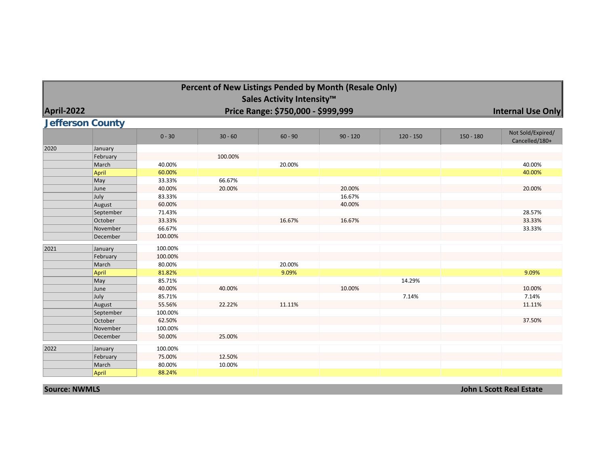|            |                         |          | Percent of New Listings Pended by Month (Resale Only) |                                    |            |             |             |                                     |
|------------|-------------------------|----------|-------------------------------------------------------|------------------------------------|------------|-------------|-------------|-------------------------------------|
|            |                         |          |                                                       | Sales Activity Intensity™          |            |             |             |                                     |
| April-2022 |                         |          |                                                       | Price Range: \$750,000 - \$999,999 |            |             |             | Internal Use Only                   |
|            |                         |          |                                                       |                                    |            |             |             |                                     |
|            | <b>Jefferson County</b> |          |                                                       |                                    |            |             |             |                                     |
|            |                         | $0 - 30$ | $30 - 60$                                             | $60 - 90$                          | $90 - 120$ | $120 - 150$ | $150 - 180$ | Not Sold/Expired/<br>Cancelled/180+ |
| 2020       | January                 |          |                                                       |                                    |            |             |             |                                     |
|            | February                |          | 100.00%                                               |                                    |            |             |             |                                     |
|            | March                   | 40.00%   |                                                       | 20.00%                             |            |             |             | 40.00%                              |
|            | April                   | 60.00%   |                                                       |                                    |            |             |             | 40.00%                              |
|            | May                     | 33.33%   | 66.67%                                                |                                    |            |             |             |                                     |
|            | June                    | 40.00%   | 20.00%                                                |                                    | 20.00%     |             |             | 20.00%                              |
|            | July                    | 83.33%   |                                                       |                                    | 16.67%     |             |             |                                     |
|            | August                  | 60.00%   |                                                       |                                    | 40.00%     |             |             |                                     |
|            | September               | 71.43%   |                                                       |                                    |            |             |             | 28.57%                              |
|            | October                 | 33.33%   |                                                       | 16.67%                             | 16.67%     |             |             | 33.33%                              |
|            | November                | 66.67%   |                                                       |                                    |            |             |             | 33.33%                              |
|            | December                | 100.00%  |                                                       |                                    |            |             |             |                                     |
| 2021       | January                 | 100.00%  |                                                       |                                    |            |             |             |                                     |
|            | February                | 100.00%  |                                                       |                                    |            |             |             |                                     |
|            | March                   | 80.00%   |                                                       | 20.00%                             |            |             |             |                                     |
|            | April                   | 81.82%   |                                                       | 9.09%                              |            |             |             | 9.09%                               |
|            | May                     | 85.71%   |                                                       |                                    |            | 14.29%      |             |                                     |
|            | June                    | 40.00%   | 40.00%                                                |                                    | 10.00%     |             |             | 10.00%                              |
|            | July                    | 85.71%   |                                                       |                                    |            | 7.14%       |             | 7.14%                               |
|            | August                  | 55.56%   | 22.22%                                                | 11.11%                             |            |             |             | 11.11%                              |
|            | September               | 100.00%  |                                                       |                                    |            |             |             |                                     |
|            | October                 | 62.50%   |                                                       |                                    |            |             |             | 37.50%                              |
|            | November                | 100.00%  |                                                       |                                    |            |             |             |                                     |
|            | December                | 50.00%   | 25.00%                                                |                                    |            |             |             |                                     |
| 2022       | January                 | 100.00%  |                                                       |                                    |            |             |             |                                     |
|            | February                | 75.00%   | 12.50%                                                |                                    |            |             |             |                                     |
|            | March                   | 80.00%   | 10.00%                                                |                                    |            |             |             |                                     |
|            | April                   | 88.24%   |                                                       |                                    |            |             |             |                                     |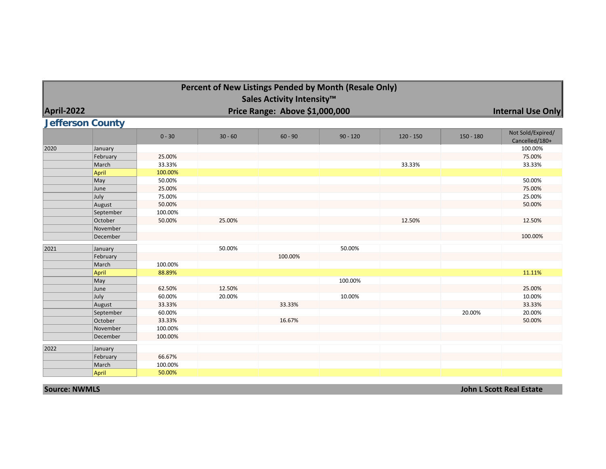|            |                         |          | Percent of New Listings Pended by Month (Resale Only) |                                |            |             |             |                                     |
|------------|-------------------------|----------|-------------------------------------------------------|--------------------------------|------------|-------------|-------------|-------------------------------------|
|            |                         |          |                                                       | Sales Activity Intensity™      |            |             |             |                                     |
| April-2022 |                         |          |                                                       | Price Range: Above \$1,000,000 |            |             |             | <b>Internal Use Only</b>            |
|            |                         |          |                                                       |                                |            |             |             |                                     |
|            | <b>Jefferson County</b> |          |                                                       |                                |            |             |             |                                     |
|            |                         | $0 - 30$ | $30 - 60$                                             | $60 - 90$                      | $90 - 120$ | $120 - 150$ | $150 - 180$ | Not Sold/Expired/<br>Cancelled/180+ |
| 2020       | January                 |          |                                                       |                                |            |             |             | 100.00%                             |
|            | February                | 25.00%   |                                                       |                                |            |             |             | 75.00%                              |
|            | March                   | 33.33%   |                                                       |                                |            | 33.33%      |             | 33.33%                              |
|            | <b>April</b>            | 100.00%  |                                                       |                                |            |             |             |                                     |
|            | May                     | 50.00%   |                                                       |                                |            |             |             | 50.00%                              |
|            | June                    | 25.00%   |                                                       |                                |            |             |             | 75.00%                              |
|            | July                    | 75.00%   |                                                       |                                |            |             |             | 25.00%                              |
|            | August                  | 50.00%   |                                                       |                                |            |             |             | 50.00%                              |
|            | September               | 100.00%  |                                                       |                                |            |             |             |                                     |
|            | October                 | 50.00%   | 25.00%                                                |                                |            | 12.50%      |             | 12.50%                              |
|            | November                |          |                                                       |                                |            |             |             |                                     |
|            | December                |          |                                                       |                                |            |             |             | 100.00%                             |
| 2021       | January                 |          | 50.00%                                                |                                | 50.00%     |             |             |                                     |
|            | February                |          |                                                       | 100.00%                        |            |             |             |                                     |
|            | March                   | 100.00%  |                                                       |                                |            |             |             |                                     |
|            | <b>April</b>            | 88.89%   |                                                       |                                |            |             |             | 11.11%                              |
|            | May                     |          |                                                       |                                | 100.00%    |             |             |                                     |
|            | June                    | 62.50%   | 12.50%                                                |                                |            |             |             | 25.00%                              |
|            | July                    | 60.00%   | 20.00%                                                |                                | 10.00%     |             |             | 10.00%                              |
|            | August                  | 33.33%   |                                                       | 33.33%                         |            |             |             | 33.33%                              |
|            | September               | 60.00%   |                                                       |                                |            |             | 20.00%      | 20.00%                              |
|            | October                 | 33.33%   |                                                       | 16.67%                         |            |             |             | 50.00%                              |
|            | November                | 100.00%  |                                                       |                                |            |             |             |                                     |
|            | December                | 100.00%  |                                                       |                                |            |             |             |                                     |
| 2022       | January                 |          |                                                       |                                |            |             |             |                                     |
|            | February                | 66.67%   |                                                       |                                |            |             |             |                                     |
|            | March                   | 100.00%  |                                                       |                                |            |             |             |                                     |
|            | <b>April</b>            | 50.00%   |                                                       |                                |            |             |             |                                     |
|            |                         |          |                                                       |                                |            |             |             |                                     |